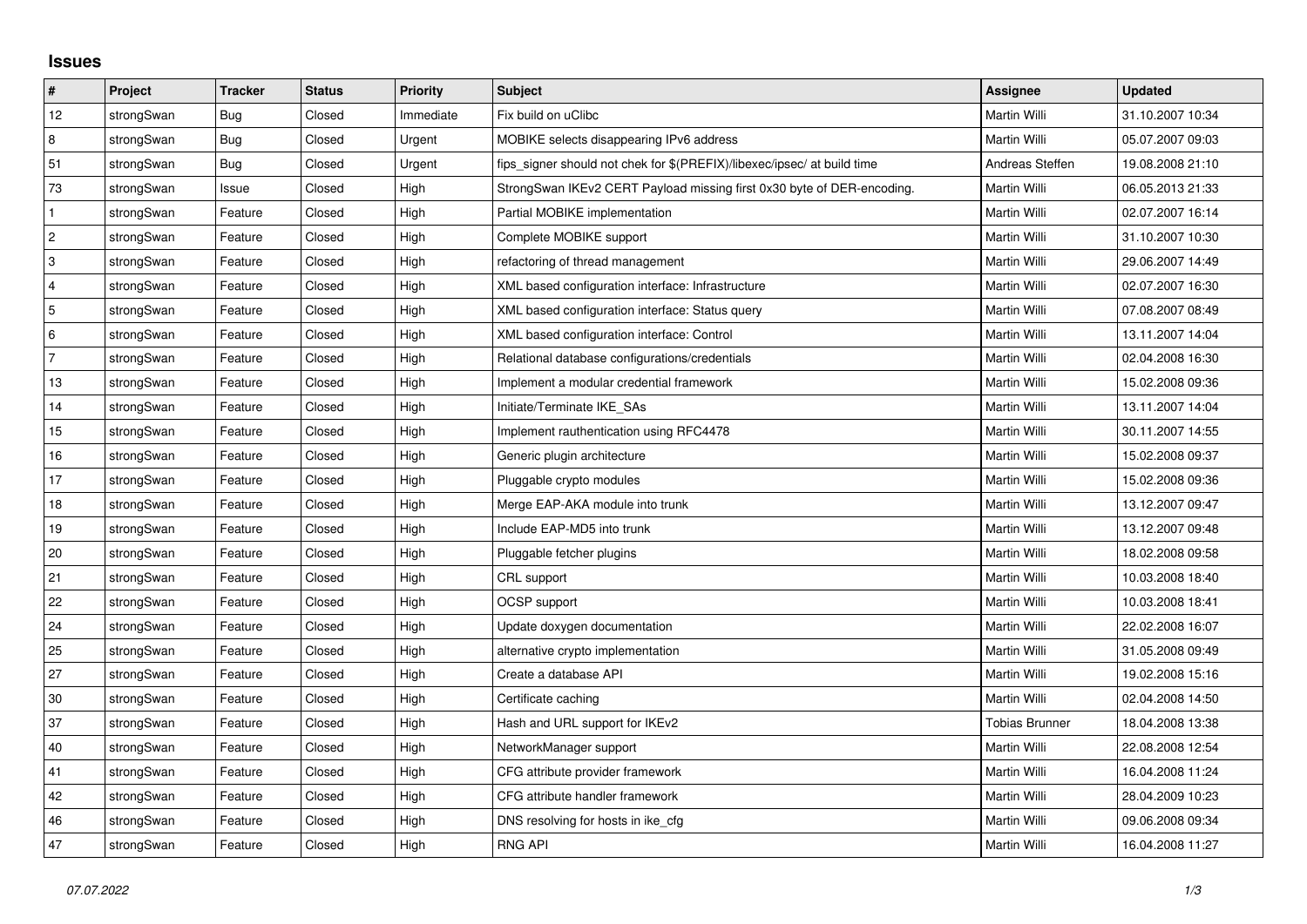## **Issues**

| #              | Project    | <b>Tracker</b> | <b>Status</b> | <b>Priority</b> | Subject                                                                 | <b>Assignee</b>       | <b>Updated</b>   |
|----------------|------------|----------------|---------------|-----------------|-------------------------------------------------------------------------|-----------------------|------------------|
| 12             | strongSwan | <b>Bug</b>     | Closed        | Immediate       | Fix build on uClibc                                                     | Martin Willi          | 31.10.2007 10:34 |
| 8              | strongSwan | Bug            | Closed        | Urgent          | MOBIKE selects disappearing IPv6 address                                | Martin Willi          | 05.07.2007 09:03 |
| 51             | strongSwan | Bug            | Closed        | Urgent          | fips_signer should not chek for \$(PREFIX)/libexec/ipsec/ at build time | Andreas Steffen       | 19.08.2008 21:10 |
| 73             | strongSwan | Issue          | Closed        | High            | StrongSwan IKEv2 CERT Payload missing first 0x30 byte of DER-encoding.  | Martin Willi          | 06.05.2013 21:33 |
| $\mathbf{1}$   | strongSwan | Feature        | Closed        | High            | Partial MOBIKE implementation                                           | Martin Willi          | 02.07.2007 16:14 |
| $\overline{c}$ | strongSwan | Feature        | Closed        | High            | Complete MOBIKE support                                                 | Martin Willi          | 31.10.2007 10:30 |
| 3              | strongSwan | Feature        | Closed        | High            | refactoring of thread management                                        | Martin Willi          | 29.06.2007 14:49 |
| $\overline{4}$ | strongSwan | Feature        | Closed        | High            | XML based configuration interface: Infrastructure                       | Martin Willi          | 02.07.2007 16:30 |
| 5              | strongSwan | Feature        | Closed        | High            | XML based configuration interface: Status query                         | Martin Willi          | 07.08.2007 08:49 |
| 6              | strongSwan | Feature        | Closed        | High            | XML based configuration interface: Control                              | Martin Willi          | 13.11.2007 14:04 |
| $\overline{7}$ | strongSwan | Feature        | Closed        | High            | Relational database configurations/credentials                          | Martin Willi          | 02.04.2008 16:30 |
| 13             | strongSwan | Feature        | Closed        | High            | Implement a modular credential framework                                | Martin Willi          | 15.02.2008 09:36 |
| 14             | strongSwan | Feature        | Closed        | High            | Initiate/Terminate IKE_SAs                                              | Martin Willi          | 13.11.2007 14:04 |
| 15             | strongSwan | Feature        | Closed        | High            | Implement rauthentication using RFC4478                                 | Martin Willi          | 30.11.2007 14:55 |
| 16             | strongSwan | Feature        | Closed        | High            | Generic plugin architecture                                             | Martin Willi          | 15.02.2008 09:37 |
| 17             | strongSwan | Feature        | Closed        | High            | Pluggable crypto modules                                                | Martin Willi          | 15.02.2008 09:36 |
| 18             | strongSwan | Feature        | Closed        | High            | Merge EAP-AKA module into trunk                                         | Martin Willi          | 13.12.2007 09:47 |
| 19             | strongSwan | Feature        | Closed        | High            | Include EAP-MD5 into trunk                                              | Martin Willi          | 13.12.2007 09:48 |
| 20             | strongSwan | Feature        | Closed        | High            | Pluggable fetcher plugins                                               | Martin Willi          | 18.02.2008 09:58 |
| 21             | strongSwan | Feature        | Closed        | High            | CRL support                                                             | Martin Willi          | 10.03.2008 18:40 |
| $22\,$         | strongSwan | Feature        | Closed        | High            | OCSP support                                                            | Martin Willi          | 10.03.2008 18:41 |
| 24             | strongSwan | Feature        | Closed        | High            | Update doxygen documentation                                            | Martin Willi          | 22.02.2008 16:07 |
| 25             | strongSwan | Feature        | Closed        | High            | alternative crypto implementation                                       | Martin Willi          | 31.05.2008 09:49 |
| 27             | strongSwan | Feature        | Closed        | High            | Create a database API                                                   | Martin Willi          | 19.02.2008 15:16 |
| 30             | strongSwan | Feature        | Closed        | High            | Certificate caching                                                     | Martin Willi          | 02.04.2008 14:50 |
| 37             | strongSwan | Feature        | Closed        | High            | Hash and URL support for IKEv2                                          | <b>Tobias Brunner</b> | 18.04.2008 13:38 |
| 40             | strongSwan | Feature        | Closed        | High            | NetworkManager support                                                  | Martin Willi          | 22.08.2008 12:54 |
| 41             | strongSwan | Feature        | Closed        | High            | CFG attribute provider framework                                        | Martin Willi          | 16.04.2008 11:24 |
| 42             | strongSwan | Feature        | Closed        | High            | CFG attribute handler framework                                         | Martin Willi          | 28.04.2009 10:23 |
| 46             | strongSwan | Feature        | Closed        | High            | DNS resolving for hosts in ike_cfg                                      | Martin Willi          | 09.06.2008 09:34 |
| 47             | strongSwan | Feature        | Closed        | High            | <b>RNG API</b>                                                          | Martin Willi          | 16.04.2008 11:27 |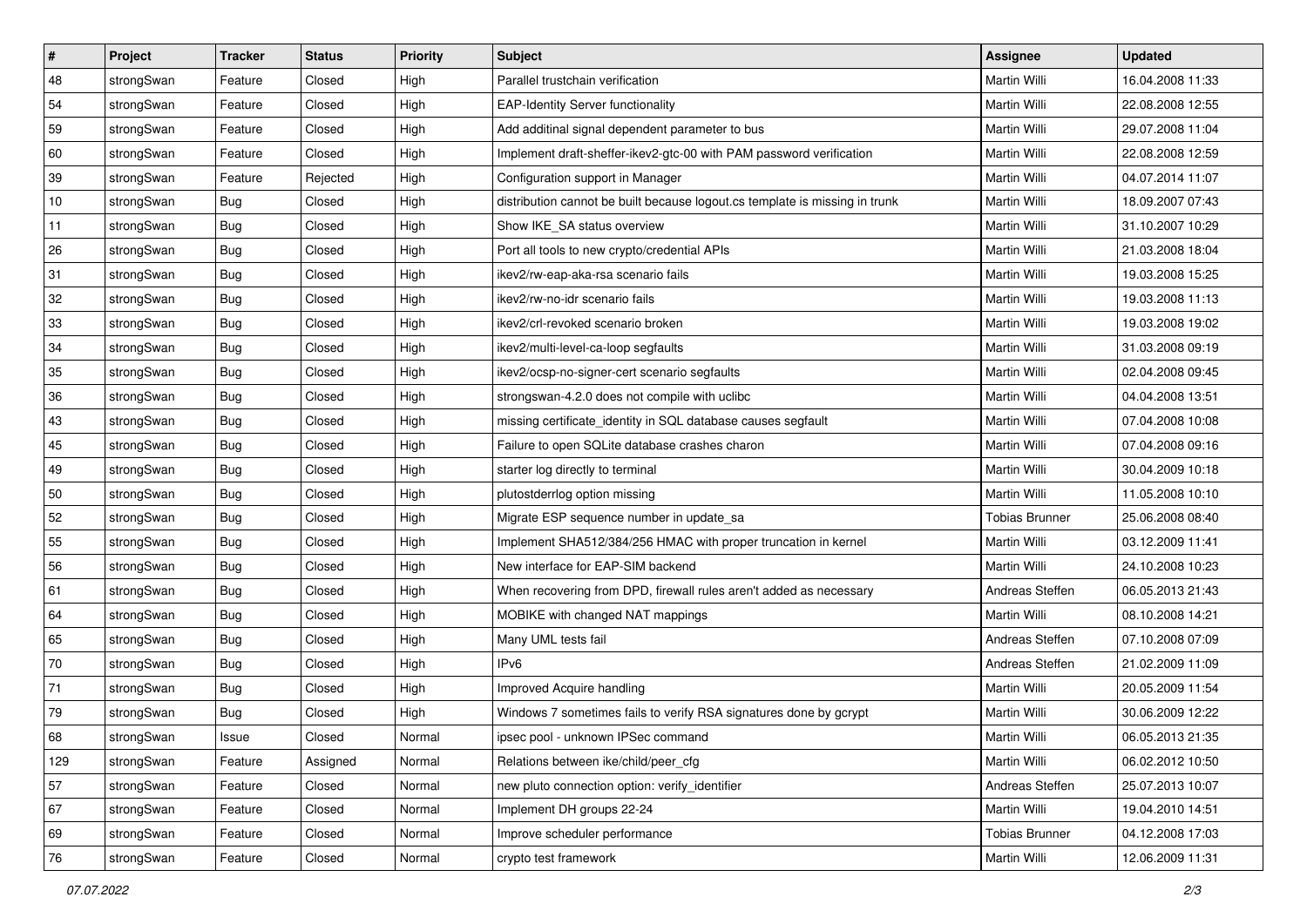| $\vert$ # | Project    | <b>Tracker</b> | <b>Status</b> | <b>Priority</b> | <b>Subject</b>                                                              | <b>Assignee</b>       | <b>Updated</b>   |
|-----------|------------|----------------|---------------|-----------------|-----------------------------------------------------------------------------|-----------------------|------------------|
| 48        | strongSwan | Feature        | Closed        | High            | Parallel trustchain verification                                            | Martin Willi          | 16.04.2008 11:33 |
| 54        | strongSwan | Feature        | Closed        | High            | <b>EAP-Identity Server functionality</b>                                    | <b>Martin Willi</b>   | 22.08.2008 12:55 |
| 59        | strongSwan | Feature        | Closed        | High            | Add additinal signal dependent parameter to bus                             | Martin Willi          | 29.07.2008 11:04 |
| 60        | strongSwan | Feature        | Closed        | High            | Implement draft-sheffer-ikev2-gtc-00 with PAM password verification         | Martin Willi          | 22.08.2008 12:59 |
| 39        | strongSwan | Feature        | Rejected      | High            | Configuration support in Manager                                            | Martin Willi          | 04.07.2014 11:07 |
| 10        | strongSwan | <b>Bug</b>     | Closed        | High            | distribution cannot be built because logout.cs template is missing in trunk | Martin Willi          | 18.09.2007 07:43 |
| 11        | strongSwan | Bug            | Closed        | High            | Show IKE_SA status overview                                                 | Martin Willi          | 31.10.2007 10:29 |
| 26        | strongSwan | Bug            | Closed        | High            | Port all tools to new crypto/credential APIs                                | Martin Willi          | 21.03.2008 18:04 |
| 31        | strongSwan | <b>Bug</b>     | Closed        | High            | ikev2/rw-eap-aka-rsa scenario fails                                         | Martin Willi          | 19.03.2008 15:25 |
| 32        | strongSwan | Bug            | Closed        | High            | ikev2/rw-no-idr scenario fails                                              | Martin Willi          | 19.03.2008 11:13 |
| 33        | strongSwan | Bug            | Closed        | High            | ikev2/crl-revoked scenario broken                                           | Martin Willi          | 19.03.2008 19:02 |
| 34        | strongSwan | <b>Bug</b>     | Closed        | High            | ikev2/multi-level-ca-loop segfaults                                         | Martin Willi          | 31.03.2008 09:19 |
| 35        | strongSwan | Bug            | Closed        | High            | ikev2/ocsp-no-signer-cert scenario segfaults                                | <b>Martin Willi</b>   | 02.04.2008 09:45 |
| 36        | strongSwan | <b>Bug</b>     | Closed        | High            | strongswan-4.2.0 does not compile with uclibe                               | Martin Willi          | 04.04.2008 13:51 |
| 43        | strongSwan | Bug            | Closed        | High            | missing certificate_identity in SQL database causes segfault                | Martin Willi          | 07.04.2008 10:08 |
| 45        | strongSwan | <b>Bug</b>     | Closed        | High            | Failure to open SQLite database crashes charon                              | Martin Willi          | 07.04.2008 09:16 |
| 49        | strongSwan | <b>Bug</b>     | Closed        | High            | starter log directly to terminal                                            | <b>Martin Willi</b>   | 30.04.2009 10:18 |
| 50        | strongSwan | Bug            | Closed        | High            | plutostderrlog option missing                                               | <b>Martin Willi</b>   | 11.05.2008 10:10 |
| 52        | strongSwan | <b>Bug</b>     | Closed        | High            | Migrate ESP sequence number in update_sa                                    | <b>Tobias Brunner</b> | 25.06.2008 08:40 |
| 55        | strongSwan | Bug            | Closed        | High            | Implement SHA512/384/256 HMAC with proper truncation in kernel              | Martin Willi          | 03.12.2009 11:41 |
| 56        | strongSwan | <b>Bug</b>     | Closed        | High            | New interface for EAP-SIM backend                                           | Martin Willi          | 24.10.2008 10:23 |
| 61        | strongSwan | <b>Bug</b>     | Closed        | High            | When recovering from DPD, firewall rules aren't added as necessary          | Andreas Steffen       | 06.05.2013 21:43 |
| 64        | strongSwan | Bug            | Closed        | High            | MOBIKE with changed NAT mappings                                            | Martin Willi          | 08.10.2008 14:21 |
| 65        | strongSwan | <b>Bug</b>     | Closed        | High            | Many UML tests fail                                                         | Andreas Steffen       | 07.10.2008 07:09 |
| 70        | strongSwan | <b>Bug</b>     | Closed        | High            | IP <sub>v6</sub>                                                            | Andreas Steffen       | 21.02.2009 11:09 |
| 71        | strongSwan | <b>Bug</b>     | Closed        | High            | Improved Acquire handling                                                   | Martin Willi          | 20.05.2009 11:54 |
| 79        | strongSwan | Bug            | Closed        | High            | Windows 7 sometimes fails to verify RSA signatures done by gcrypt           | Martin Willi          | 30.06.2009 12:22 |
| 68        | strongSwan | Issue          | Closed        | Normal          | ipsec pool - unknown IPSec command                                          | Martin Willi          | 06.05.2013 21:35 |
| 129       | strongSwan | Feature        | Assigned      | Normal          | Relations between ike/child/peer cfg                                        | Martin Willi          | 06.02.2012 10:50 |
| 57        | strongSwan | Feature        | Closed        | Normal          | new pluto connection option: verify_identifier                              | Andreas Steffen       | 25.07.2013 10:07 |
| 67        | strongSwan | Feature        | Closed        | Normal          | Implement DH groups 22-24                                                   | Martin Willi          | 19.04.2010 14:51 |
| 69        | strongSwan | Feature        | Closed        | Normal          | Improve scheduler performance                                               | <b>Tobias Brunner</b> | 04.12.2008 17:03 |
| 76        | strongSwan | Feature        | Closed        | Normal          | crypto test framework                                                       | Martin Willi          | 12.06.2009 11:31 |